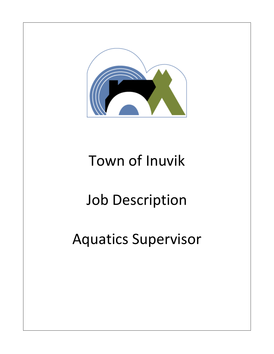

## Town of Inuvik

# Job Description

## Aquatics Supervisor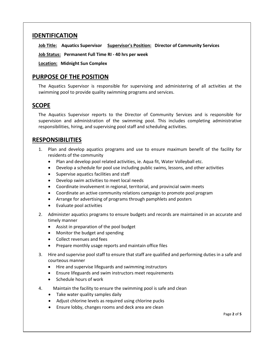#### **IDENTIFICATION**

**Job Title: Aquatics Supervisor Supervisor's Position: Director of Community Services**

**Job Status: Permanent Full Time RI - 40 hrs per week**

**Location: Midnight Sun Complex**

### **PURPOSE OF THE POSITION**

The Aquatics Supervisor is responsible for supervising and administering of all activities at the swimming pool to provide quality swimming programs and services.

## **SCOPE**

The Aquatics Supervisor reports to the Director of Community Services and is responsible for supervision and administration of the swimming pool. This includes completing administrative responsibilities, hiring, and supervising pool staff and scheduling activities.

#### **RESPONSIBILITIES**

- 1. Plan and develop aquatics programs and use to ensure maximum benefit of the facility for residents of the community
	- Plan and develop pool related activities, ie. Aqua fit, Water Volleyball etc.
	- Develop a schedule for pool use including public swims, lessons, and other activities
	- Supervise aquatics facilities and staff
	- Develop swim activities to meet local needs
	- Coordinate involvement in regional, territorial, and provincial swim meets
	- Coordinate an active community relations campaign to promote pool program
	- Arrange for advertising of programs through pamphlets and posters
	- Evaluate pool activities
- 2. Administer aquatics programs to ensure budgets and records are maintained in an accurate and timely manner
	- Assist in preparation of the pool budget
	- Monitor the budget and spending
	- Collect revenues and fees
	- Prepare monthly usage reports and maintain office files
- 3. Hire and supervise pool staff to ensure that staff are qualified and performing duties in a safe and courteous manner
	- Hire and supervise lifeguards and swimming instructors
	- Ensure lifeguards and swim instructors meet requirements
	- Schedule hours of work
- 4. Maintain the facility to ensure the swimming pool is safe and clean
	- Take water quality samples daily
	- Adjust chlorine levels as required using chlorine pucks
	- Ensure lobby, changes rooms and deck area are clean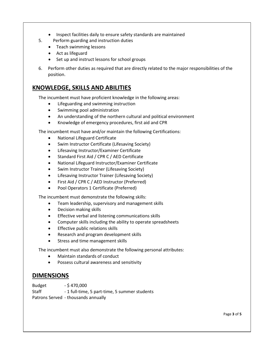- Inspect facilities daily to ensure safety standards are maintained
- 5. Perform guarding and instruction duties
	- Teach swimming lessons
	- Act as lifeguard
	- Set up and instruct lessons for school groups
- 6. Perform other duties as required that are directly related to the major responsibilities of the position.

### **KNOWLEDGE, SKILLS AND ABILITIES**

The incumbent must have proficient knowledge in the following areas:

- Lifeguarding and swimming instruction
- Swimming pool administration
- An understanding of the northern cultural and political environment
- Knowledge of emergency procedures, first aid and CPR

The incumbent must have and/or maintain the following Certifications:

- National Lifeguard Certificate
- Swim Instructor Certificate (Lifesaving Society)
- Lifesaving Instructor/Examiner Certificate
- Standard First Aid / CPR C / AED Certificate
- National Lifeguard Instructor/Examiner Certificate
- Swim Instructor Trainer (Lifesaving Society)
- Lifesaving Instructor Trainer (Lifesaving Society)
- First Aid / CPR C / AED Instructor (Preferred)
- Pool Operators 1 Certificate (Preferred)

The incumbent must demonstrate the following skills:

- Team leadership, supervisory and management skills
- Decision making skills
- Effective verbal and listening communications skills
- Computer skills including the ability to operate spreadsheets
- Effective public relations skills
- Research and program development skills
- Stress and time management skills

The incumbent must also demonstrate the following personal attributes:

- Maintain standards of conduct
- Possess cultural awareness and sensitivity

#### **DIMENSIONS**

Budget - \$470,000

Staff - 1 full-time, 5 part-time, 5 summer students Patrons Served - thousands annually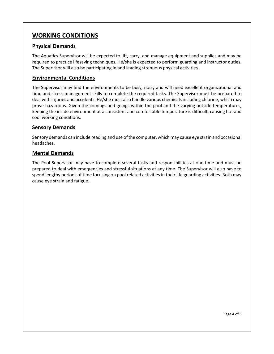## **WORKING CONDITIONS**

#### **Physical Demands**

The Aquatics Supervisor will be expected to lift, carry, and manage equipment and supplies and may be required to practice lifesaving techniques. He/she is expected to perform guarding and instructor duties. The Supervisor will also be participating in and leading strenuous physical activities.

#### **Environmental Conditions**

The Supervisor may find the environments to be busy, noisy and will need excellent organizational and time and stress management skills to complete the required tasks. The Supervisor must be prepared to deal with injuries and accidents. He/she must also handle various chemicals including chlorine, which may prove hazardous. Given the comings and goings within the pool and the varying outside temperatures, keeping the inside environment at a consistent and comfortable temperature is difficult, causing hot and cool working conditions.

#### **Sensory Demands**

Sensory demands can include reading and use of the computer, which may cause eye strain and occasional headaches.

#### **Mental Demands**

The Pool Supervisor may have to complete several tasks and responsibilities at one time and must be prepared to deal with emergencies and stressful situations at any time. The Supervisor will also have to spend lengthy periods of time focusing on pool related activities in their life guarding activities. Both may cause eye strain and fatigue.